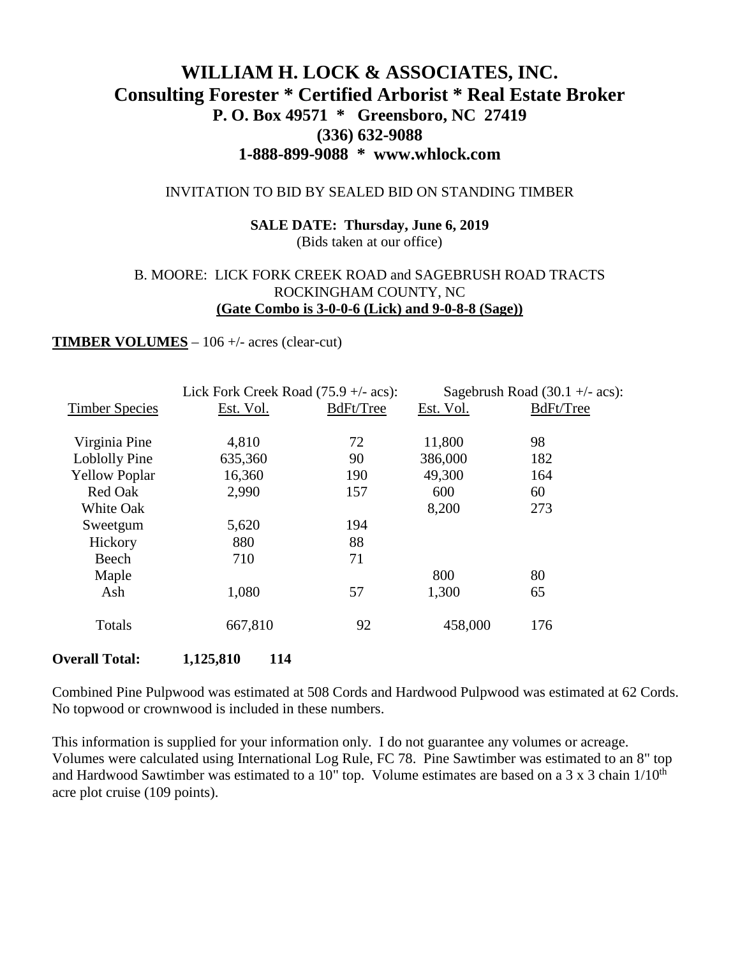# **WILLIAM H. LOCK & ASSOCIATES, INC. Consulting Forester \* Certified Arborist \* Real Estate Broker P. O. Box 49571 \* Greensboro, NC 27419 (336) 632-9088 1-888-899-9088 \* www.whlock.com**

#### INVITATION TO BID BY SEALED BID ON STANDING TIMBER

### **SALE DATE: Thursday, June 6, 2019** (Bids taken at our office)

### B. MOORE: LICK FORK CREEK ROAD and SAGEBRUSH ROAD TRACTS ROCKINGHAM COUNTY, NC **(Gate Combo is 3-0-0-6 (Lick) and 9-0-8-8 (Sage))**

#### **TIMBER VOLUMES** – 106 +/- acres (clear-cut)

|                       | Lick Fork Creek Road $(75.9 + - \text{acs})$ : |           | Sagebrush Road $(30.1 +/- \text{acs})$ : |           |
|-----------------------|------------------------------------------------|-----------|------------------------------------------|-----------|
| <b>Timber Species</b> | Est. Vol.                                      | BdFt/Tree | Est. Vol.                                | BdFt/Tree |
|                       |                                                |           |                                          |           |
| Virginia Pine         | 4,810                                          | 72        | 11,800                                   | 98        |
| Loblolly Pine         | 635,360                                        | 90        | 386,000                                  | 182       |
| <b>Yellow Poplar</b>  | 16,360                                         | 190       | 49,300                                   | 164       |
| Red Oak               | 2,990                                          | 157       | 600                                      | 60        |
| White Oak             |                                                |           | 8,200                                    | 273       |
| Sweetgum              | 5,620                                          | 194       |                                          |           |
| Hickory               | 880                                            | 88        |                                          |           |
| Beech                 | 710                                            | 71        |                                          |           |
| Maple                 |                                                |           | 800                                      | 80        |
| Ash                   | 1,080                                          | 57        | 1,300                                    | 65        |
| Totals                | 667,810                                        | 92        | 458,000                                  | 176       |
| <b>Overall Total:</b> | 1,125,810<br>114                               |           |                                          |           |

Combined Pine Pulpwood was estimated at 508 Cords and Hardwood Pulpwood was estimated at 62 Cords. No topwood or crownwood is included in these numbers.

This information is supplied for your information only. I do not guarantee any volumes or acreage. Volumes were calculated using International Log Rule, FC 78. Pine Sawtimber was estimated to an 8" top and Hardwood Sawtimber was estimated to a 10" top. Volume estimates are based on a 3 x 3 chain 1/10<sup>th</sup> acre plot cruise (109 points).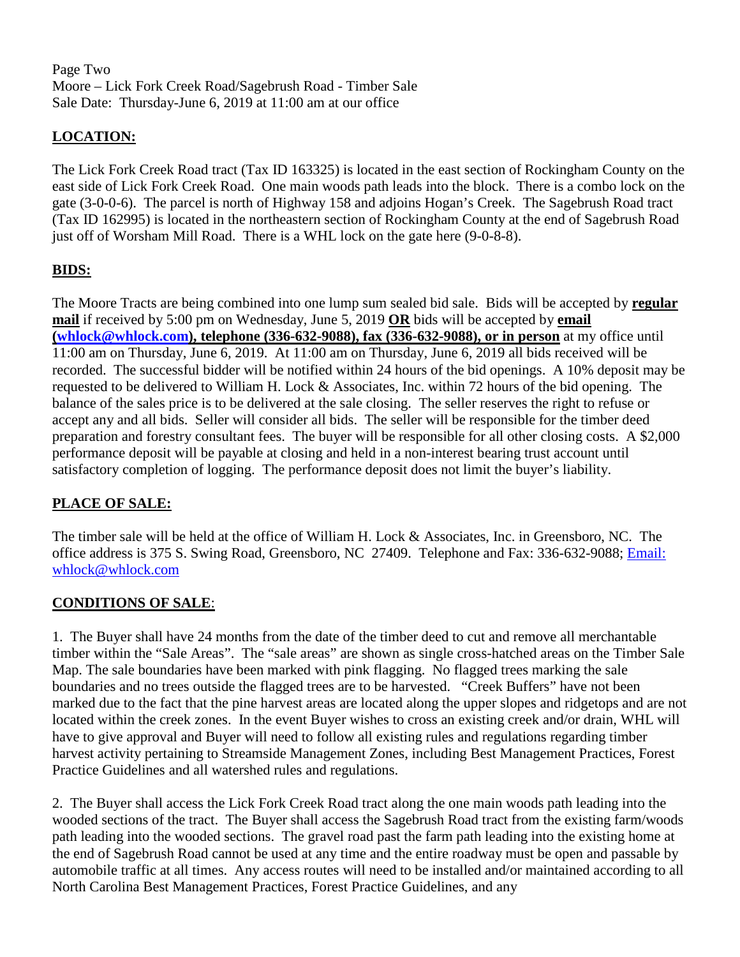Page Two Moore – Lick Fork Creek Road/Sagebrush Road - Timber Sale Sale Date: Thursday-June 6, 2019 at 11:00 am at our office

# **LOCATION:**

The Lick Fork Creek Road tract (Tax ID 163325) is located in the east section of Rockingham County on the east side of Lick Fork Creek Road. One main woods path leads into the block. There is a combo lock on the gate (3-0-0-6). The parcel is north of Highway 158 and adjoins Hogan's Creek. The Sagebrush Road tract (Tax ID 162995) is located in the northeastern section of Rockingham County at the end of Sagebrush Road just off of Worsham Mill Road. There is a WHL lock on the gate here (9-0-8-8).

# **BIDS:**

The Moore Tracts are being combined into one lump sum sealed bid sale. Bids will be accepted by **regular mail** if received by 5:00 pm on Wednesday, June 5, 2019 **OR** bids will be accepted by **email [\(whlock@whlock.com\)](mailto:whlock@whlock.com), telephone (336-632-9088), fax (336-632-9088), or in person** at my office until 11:00 am on Thursday, June 6, 2019. At 11:00 am on Thursday, June 6, 2019 all bids received will be recorded. The successful bidder will be notified within 24 hours of the bid openings. A 10% deposit may be requested to be delivered to William H. Lock & Associates, Inc. within 72 hours of the bid opening. The balance of the sales price is to be delivered at the sale closing. The seller reserves the right to refuse or accept any and all bids. Seller will consider all bids. The seller will be responsible for the timber deed preparation and forestry consultant fees. The buyer will be responsible for all other closing costs. A \$2,000 performance deposit will be payable at closing and held in a non-interest bearing trust account until satisfactory completion of logging. The performance deposit does not limit the buyer's liability.

### **PLACE OF SALE:**

The timber sale will be held at the office of William H. Lock & Associates, Inc. in Greensboro, NC. The office address is 375 S. Swing Road, Greensboro, NC 27409. Telephone and Fax: 336-632-9088; [Email:](mailto:Email:%20whlock@whlock.com)  [whlock@whlock.com](mailto:Email:%20whlock@whlock.com) 

### **CONDITIONS OF SALE**:

1. The Buyer shall have 24 months from the date of the timber deed to cut and remove all merchantable timber within the "Sale Areas". The "sale areas" are shown as single cross-hatched areas on the Timber Sale Map. The sale boundaries have been marked with pink flagging. No flagged trees marking the sale boundaries and no trees outside the flagged trees are to be harvested. "Creek Buffers" have not been marked due to the fact that the pine harvest areas are located along the upper slopes and ridgetops and are not located within the creek zones. In the event Buyer wishes to cross an existing creek and/or drain, WHL will have to give approval and Buyer will need to follow all existing rules and regulations regarding timber harvest activity pertaining to Streamside Management Zones, including Best Management Practices, Forest Practice Guidelines and all watershed rules and regulations.

2. The Buyer shall access the Lick Fork Creek Road tract along the one main woods path leading into the wooded sections of the tract. The Buyer shall access the Sagebrush Road tract from the existing farm/woods path leading into the wooded sections. The gravel road past the farm path leading into the existing home at the end of Sagebrush Road cannot be used at any time and the entire roadway must be open and passable by automobile traffic at all times. Any access routes will need to be installed and/or maintained according to all North Carolina Best Management Practices, Forest Practice Guidelines, and any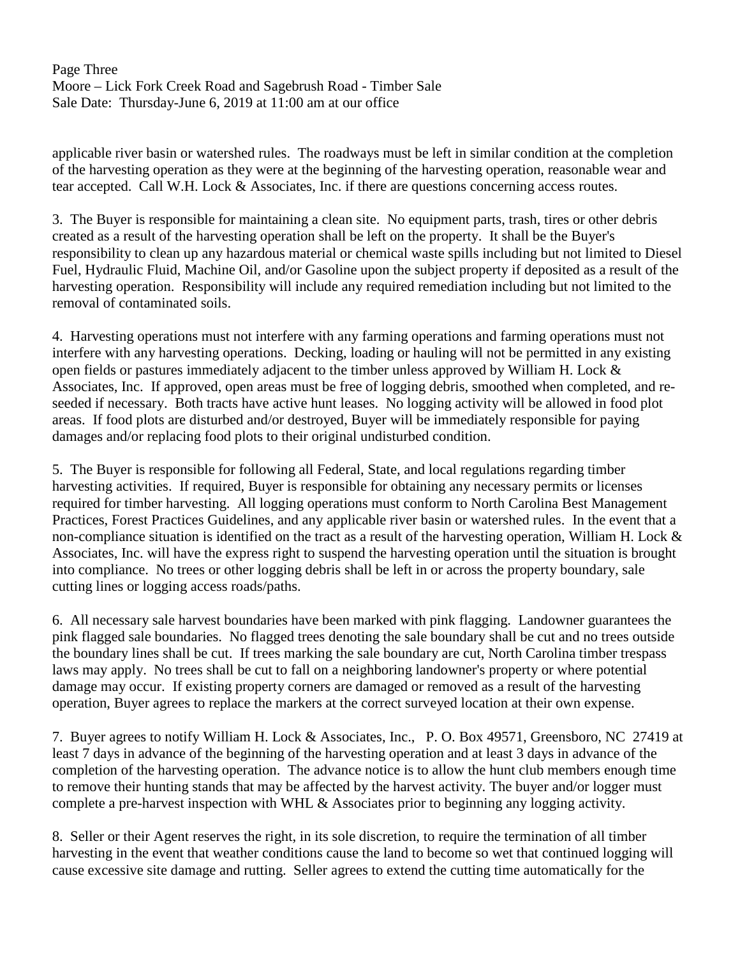Page Three Moore – Lick Fork Creek Road and Sagebrush Road - Timber Sale Sale Date: Thursday-June 6, 2019 at 11:00 am at our office

applicable river basin or watershed rules. The roadways must be left in similar condition at the completion of the harvesting operation as they were at the beginning of the harvesting operation, reasonable wear and tear accepted. Call W.H. Lock & Associates, Inc. if there are questions concerning access routes.

3. The Buyer is responsible for maintaining a clean site. No equipment parts, trash, tires or other debris created as a result of the harvesting operation shall be left on the property. It shall be the Buyer's responsibility to clean up any hazardous material or chemical waste spills including but not limited to Diesel Fuel, Hydraulic Fluid, Machine Oil, and/or Gasoline upon the subject property if deposited as a result of the harvesting operation. Responsibility will include any required remediation including but not limited to the removal of contaminated soils.

4. Harvesting operations must not interfere with any farming operations and farming operations must not interfere with any harvesting operations. Decking, loading or hauling will not be permitted in any existing open fields or pastures immediately adjacent to the timber unless approved by William H. Lock & Associates, Inc. If approved, open areas must be free of logging debris, smoothed when completed, and reseeded if necessary. Both tracts have active hunt leases. No logging activity will be allowed in food plot areas. If food plots are disturbed and/or destroyed, Buyer will be immediately responsible for paying damages and/or replacing food plots to their original undisturbed condition.

5. The Buyer is responsible for following all Federal, State, and local regulations regarding timber harvesting activities. If required, Buyer is responsible for obtaining any necessary permits or licenses required for timber harvesting. All logging operations must conform to North Carolina Best Management Practices, Forest Practices Guidelines, and any applicable river basin or watershed rules. In the event that a non-compliance situation is identified on the tract as a result of the harvesting operation, William H. Lock & Associates, Inc. will have the express right to suspend the harvesting operation until the situation is brought into compliance. No trees or other logging debris shall be left in or across the property boundary, sale cutting lines or logging access roads/paths.

6. All necessary sale harvest boundaries have been marked with pink flagging. Landowner guarantees the pink flagged sale boundaries. No flagged trees denoting the sale boundary shall be cut and no trees outside the boundary lines shall be cut. If trees marking the sale boundary are cut, North Carolina timber trespass laws may apply. No trees shall be cut to fall on a neighboring landowner's property or where potential damage may occur. If existing property corners are damaged or removed as a result of the harvesting operation, Buyer agrees to replace the markers at the correct surveyed location at their own expense.

7. Buyer agrees to notify William H. Lock & Associates, Inc., P. O. Box 49571, Greensboro, NC 27419 at least 7 days in advance of the beginning of the harvesting operation and at least 3 days in advance of the completion of the harvesting operation. The advance notice is to allow the hunt club members enough time to remove their hunting stands that may be affected by the harvest activity. The buyer and/or logger must complete a pre-harvest inspection with WHL & Associates prior to beginning any logging activity.

8. Seller or their Agent reserves the right, in its sole discretion, to require the termination of all timber harvesting in the event that weather conditions cause the land to become so wet that continued logging will cause excessive site damage and rutting. Seller agrees to extend the cutting time automatically for the